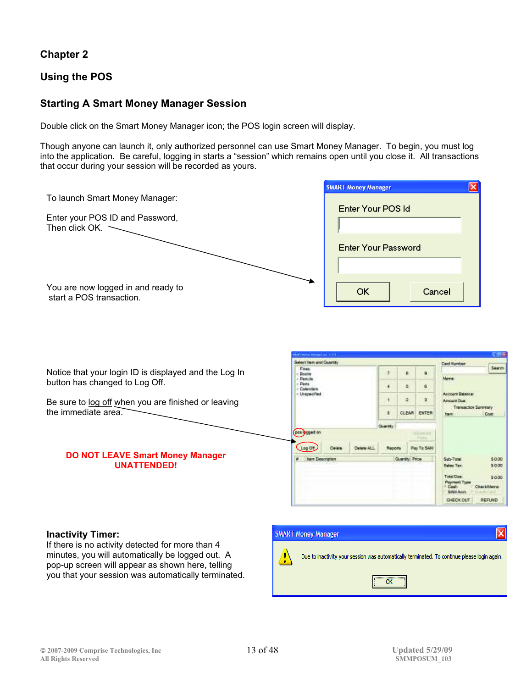## **Chapter 2**

### **Using the POS**

### **Starting A Smart Money Manager Session**

Double click on the Smart Money Manager icon; the POS login screen will display.

Though anyone can launch it, only authorized personnel can use Smart Money Manager. To begin, you must log into the application. Be careful, logging in starts a "session" which remains open until you close it. All transactions that occur during your session will be recorded as yours.

|                                                                | <b>SMART Money Manager</b>             |                  |                       |                             | $\overline{\mathsf{x}}$                                                      |                        |
|----------------------------------------------------------------|----------------------------------------|------------------|-----------------------|-----------------------------|------------------------------------------------------------------------------|------------------------|
| To launch Smart Money Manager:                                 | Enter Your POS Id                      |                  |                       |                             |                                                                              |                        |
| Enter your POS ID and Password,<br>Then click OK. $\sim$       |                                        |                  |                       |                             |                                                                              |                        |
|                                                                | <b>Enter Your Password</b>             |                  |                       |                             |                                                                              |                        |
| You are now logged in and ready to<br>start a POS transaction. | <b>OK</b>                              |                  |                       | Cancel                      |                                                                              |                        |
|                                                                |                                        |                  |                       |                             |                                                                              |                        |
|                                                                | Select Rent and Country                |                  |                       |                             |                                                                              |                        |
| Notice that your login ID is displayed and the Log In          | <b>Finan</b><br>Books<br><b>Penche</b> | 7                |                       |                             |                                                                              |                        |
| button has changed to Log Off.                                 |                                        |                  |                       |                             | <b>Card Number</b>                                                           | Search                 |
|                                                                | <b>Peits</b><br>Calendars              | ٠                | 香:                    | ű.                          | Morra                                                                        |                        |
| Be sure to log off when you are finished or leaving            | <b>Unapecified</b>                     | ٠                | 2                     | 3 <sup>°</sup>              | <b>Account Existen</b><br><b>Announce Due</b><br><b>Transaction Seremany</b> |                        |
| the immediate area.                                            |                                        | п                |                       | <b>CLEAR ENTER</b>          | <b>Topics</b>                                                                | Com                    |
|                                                                | pm) and on                             | <b>Cluentify</b> |                       |                             |                                                                              |                        |
|                                                                | Log Off                                | Reports          |                       | <b>Pillon</b><br>Pas To SAN |                                                                              |                        |
| <b>DO NOT LEAVE Smart Money Manager</b><br><b>UNATTENDED!</b>  | <b>New Description</b>                 |                  | <b>Quantity Price</b> |                             | Sub-Total<br>Sales Tex                                                       | \$0.00<br>30.00        |
|                                                                |                                        |                  |                       |                             | <b>Total Oue:</b><br><b>MillTopM</b><br><b>SMIT ADDIT</b>                    | \$0.00<br>CheckRiterio |

#### **Inactivity Timer:**

If there is no activity detected for more than 4 minutes, you will automatically be logged out. A pop-up screen will appear as shown here, telling you that your session was automatically terminated.

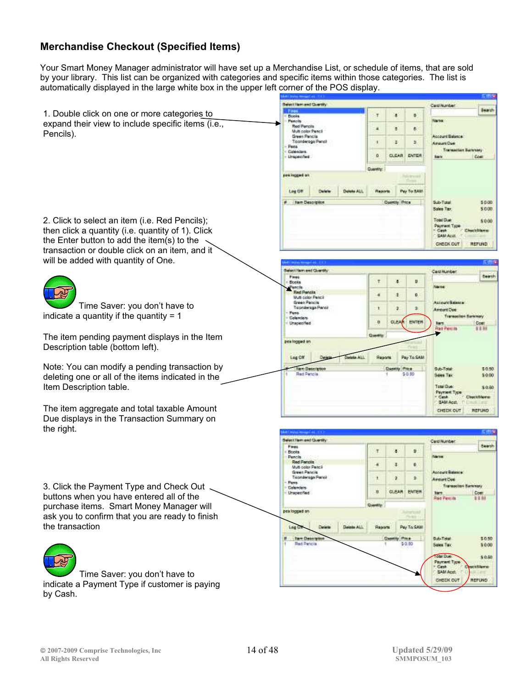# **Merchandise Checkout (Specified Items)**

Your Smart Money Manager administrator will have set up a Merchandise List, or schedule of items, that are sold by your library. This list can be organized with categories and specific items within those categories. The list is automatically displayed in the large white box in the upper left corner of the POS display.

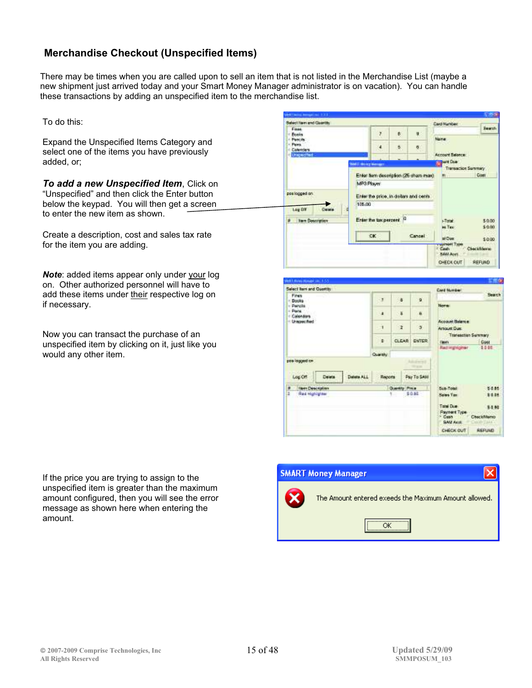## **Merchandise Checkout (Unspecified Items)**

There may be times when you are called upon to sell an item that is not listed in the Merchandise List (maybe a new shipment just arrived today and your Smart Money Manager administrator is on vacation). You can handle these transactions by adding an unspecified item to the merchandise list.

To do this:

Expand the Unspecified Items Category and select one of the items you have previously added, or;

*To add a new Unspecified Item*, Click on "Unspecified" and then click the Enter button below the keypad. You will then get a screen to enter the new item as shown.

Create a description, cost and sales tax rate for the item you are adding.

*Note*: added items appear only under your log on. Other authorized personnel will have to add these items under their respective log on if necessary.

Now you can transact the purchase of an unspecified item by clicking on it, just like you would any other item.

If the price you are trying to assign to the unspecified item is greater than the maximum amount configured, then you will see the error message as shown here when entering the amount.



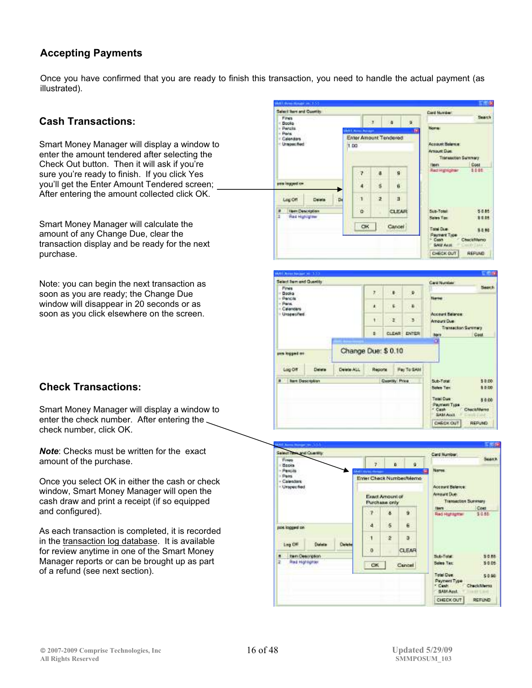# **Accepting Payments**

Once you have confirmed that you are ready to finish this transaction, you need to handle the actual payment (as illustrated).

## **Cash Transactions:**

Smart Money Manager will display a window to enter the amount tendered after selecting the Check Out button. Then it will ask if you're sure you're ready to finish. If you click Yes you'll get the Enter Amount Tendered screen; After entering the amount collected click OK.

Smart Money Manager will calculate the amount of any Change Due, clear the transaction display and be ready for the next purchase.

Note: you can begin the next transaction as soon as you are ready; the Change Due window will disappear in 20 seconds or as soon as you click elsewhere on the screen.





# **Check Transactions:**

Smart Money Manager will display a window to enter the check number. After entering the check number, click OK.

*Note*: Checks must be written for the exact amount of the purchase.

Once you select OK in either the cash or check window, Smart Money Manager will open the cash draw and print a receipt (if so equipped and configured).

As each transaction is completed, it is recorded in the transaction log database. It is available for review anytime in one of the Smart Money Manager reports or can be brought up as part of a refund (see next section).

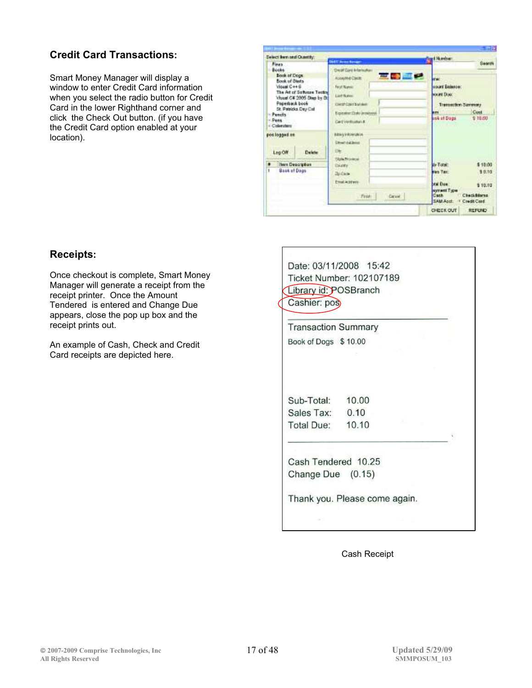# **Credit Card Transactions:**

Smart Money Manager will display a window to enter Credit Card information when you select the radio button for Credit Card in the lower Righthand corner and click the Check Out button. (if you have the Credit Card option enabled at your location).

| Select liers and Quantity:<br>Fines                                                      |                                                                                   | <b>SAAT Invest Novany</b>                                                                                              | ed Number:<br><b>Saarin</b>                                                                                                 |
|------------------------------------------------------------------------------------------|-----------------------------------------------------------------------------------|------------------------------------------------------------------------------------------------------------------------|-----------------------------------------------------------------------------------------------------------------------------|
| - Books<br><b>Book of Dogs</b><br><b>Book of Stats</b><br>Visual C++ G<br>Paperback book | The Art of Software Texting<br>Visual C# 2005 Stap by D.<br>St. Patricks Day Call | <b>Dividi Card Information</b><br><b>CONTRACTOR</b><br>Arranted Carm<br>First Nation<br>List Name:<br>CANSECANS Number | and it<br><b>Hourd Extended</b><br>YOUNE DUAY.<br>Tremsschon Summary<br>Cost                                                |
| - Penells<br>- Pens<br>Colorators                                                        |                                                                                   | Expositer:Date (movement)<br>Card Verbisskan #                                                                         | ask at Dogs<br>\$10,00                                                                                                      |
| postagged en                                                                             |                                                                                   | <b>Edmin MASKARIA</b><br><b>Ginest Address</b>                                                                         |                                                                                                                             |
| Log <sub>OW</sub>                                                                        | Delete                                                                            | <b>CM</b><br>State Province                                                                                            |                                                                                                                             |
| <b>Here Description</b><br>Bask of Dags                                                  |                                                                                   | <b>Diumy</b><br><b>Bullets</b>                                                                                         | de-Total:<br>\$10.00<br>\$ 0.10<br><b>First Tax:</b>                                                                        |
|                                                                                          |                                                                                   | Email achiever<br>Free:<br>Caruse -                                                                                    | Mal Due:<br>\$10.10<br>kyrwel Type<br><b>Check@dares</b><br>Cash.<br>SAM Apet.<br>Coudit Card<br>OVECK OUT<br><b>REFUND</b> |

Date: 03/11/2008 15:42 Ticket Number: 102107189

# **Receipts:**

Once checkout is complete, Smart Money Manager will generate a receipt from the receipt printer. Once the Amount Tendered is entered and Change Due appears, close the pop up box and the receipt prints out.

An example of Cash, Check and Credit Card receipts are depicted here.

| <b>Transaction Summary</b>               |       |  |
|------------------------------------------|-------|--|
| Book of Dogs \$10.00                     |       |  |
|                                          |       |  |
| Sub-Total:                               | 10.00 |  |
| Sales Tax:                               | 0.10  |  |
| Total Due:                               | 10.10 |  |
| Cash Tendered 10.25<br>Change Due (0.15) |       |  |

Cash Receipt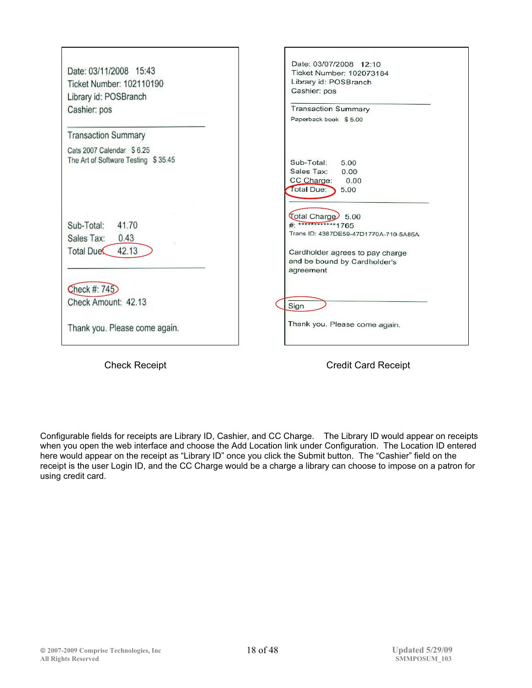| Date: 03/11/2008 15:43              | Date: 03/07/2008 12:10<br>Ticket Number: 102073184 |
|-------------------------------------|----------------------------------------------------|
| Ticket Number: 102110190            | Library id: POSBranch                              |
| Library id: POSBranch               | Cashier: pos                                       |
| Cashier: pos                        | <b>Transaction Summary</b>                         |
|                                     | Paperback book \$5.00                              |
| <b>Transaction Summary</b>          |                                                    |
| Cats 2007 Calendar \$6.25           |                                                    |
| The Art of Software Testing \$35.45 | Sub-Total:<br>5.00                                 |
|                                     | Sales Tax:<br>0.00                                 |
|                                     | CC Charge:<br>0.00                                 |
|                                     | Total Due:<br>5.00                                 |
|                                     |                                                    |
| Sub-Total:<br>41.70                 | Total Charge 5.00<br>#: ************1765           |
|                                     | Trans ID: 4387DE59-47D1770A-710-5A85A              |
| Sales Tax:<br>0.43                  |                                                    |
| 42.13<br>Total Due                  | Cardholder agrees to pay charge                    |
|                                     | and be bound by Cardholder's                       |
|                                     | agreement                                          |
| Check #: 745                        |                                                    |
| Check Amount: 42.13                 | Sign                                               |
|                                     |                                                    |
| Thank you. Please come again.       | Thank you. Please come again.                      |
|                                     |                                                    |

Configurable fields for receipts are Library ID, Cashier, and CC Charge. The Library ID would appear on receipts when you open the web interface and choose the Add Location link under Configuration. The Location ID entered here would appear on the receipt as "Library ID" once you click the Submit button. The "Cashier" field on the receipt is the user Login ID, and the CC Charge would be a charge a library can choose to impose on a patron for using credit card.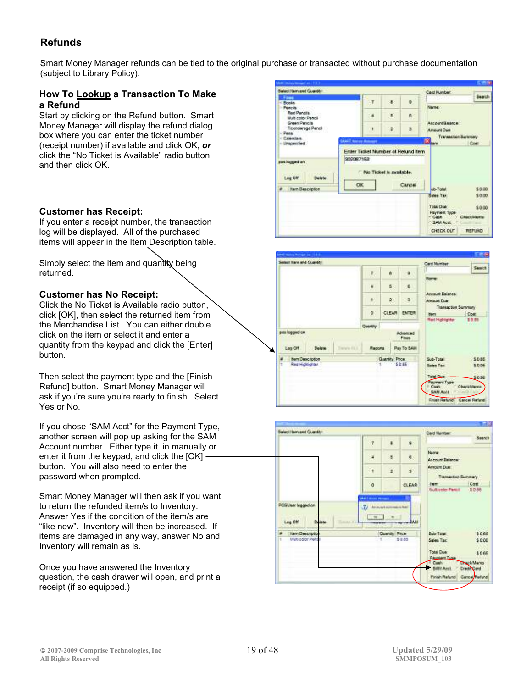# **Refunds**

Smart Money Manager refunds can be tied to the original purchase or transacted without purchase documentation (subject to Library Policy).

#### **How To Lookup a Transaction To Make a Refund**

Start by clicking on the Refund button. Smart Money Manager will display the refund dialog box where you can enter the ticket number (receipt number) if available and click OK, *or* click the "No Ticket is Available" radio button and then click OK.

#### **Customer has Receipt:**

If you enter a receipt number, the transaction log will be displayed. All of the purchased items will appear in the Item Description table.

Simply select the item and quantity being returned.

#### **Customer has No Receipt:**

Click the No Ticket is Available radio button, click [OK], then select the returned item from the Merchandise List. You can either double click on the item or select it and enter a quantity from the keypad and click the [Enter] button.

Then select the payment type and the [Finish Refund] button. Smart Money Manager will ask if you're sure you're ready to finish. Select Yes or No.

If you chose "SAM Acct" for the Payment Type, another screen will pop up asking for the SAM Account number. Either type it in manually or enter it from the keypad, and click the [OK]  $\cdot$ button. You will also need to enter the password when prompted.

Smart Money Manager will then ask if you want to return the refunded item/s to Inventory. Answer Yes if the condition of the item/s are "like new". Inventory will then be increased. If items are damaged in any way, answer No and Inventory will remain as is.

Once you have answered the Inventory question, the cash drawer will open, and print a receipt (if so equipped.)





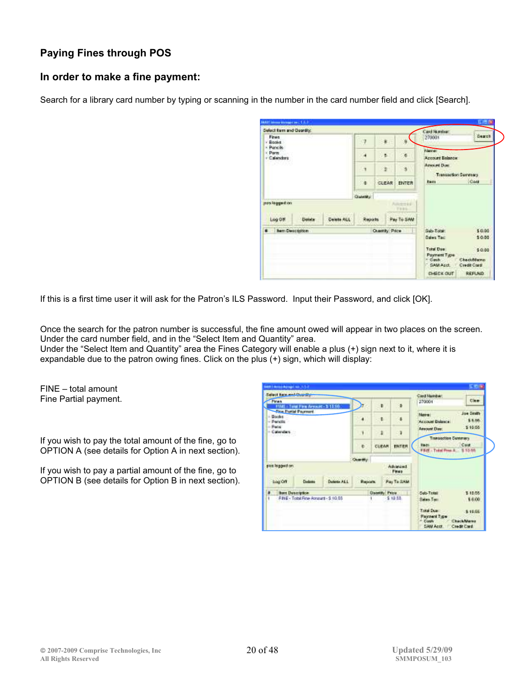# **Paying Fines through POS**

### **In order to make a fine payment:**

Search for a library card number by typing or scanning in the number in the card number field and click [Search].

| Fines<br>· Rooks<br>- Pancillo |         |            |                | R               | ú                     | 270001                                            | Geart                                  |
|--------------------------------|---------|------------|----------------|-----------------|-----------------------|---------------------------------------------------|----------------------------------------|
| : Parm<br>- Calendara          |         |            |                | B.              | $\sigma$              | <b>Filmmed</b><br><b>Account Balance</b>          |                                        |
|                                |         |            | E              | ×               | ä                     | <b>Arround Due:</b><br><b>Transaction Summary</b> |                                        |
|                                |         |            | 7a             | CLEAR           | ENTER                 | <b>East</b>                                       | Cost                                   |
|                                |         |            | <b>CHANGE</b>  |                 |                       |                                                   |                                        |
| pes lagged on                  |         |            |                |                 | Automobile<br>Forest. |                                                   |                                        |
| Log OM                         | Elekate | Detete ALL | <b>Reports</b> |                 | Pay To SAM            |                                                   |                                        |
| <b>6 Bert Description</b>      |         |            |                | Quantity: Price |                       | Sab-Total:                                        | \$0.00                                 |
|                                |         |            |                |                 |                       | Gales Tair                                        | \$0.00                                 |
|                                |         |            |                |                 |                       | Total Das:<br>Poyment Type<br>- Cash<br>GAM Aprt. | \$0.00<br>CheckMerro<br>Credit Clariff |
|                                |         |            |                |                 |                       | <b>CHECK OUT</b>                                  | REFLND.                                |

If this is a first time user it will ask for the Patron's ILS Password. Input their Password, and click [OK].

Once the search for the patron number is successful, the fine amount owed will appear in two places on the screen. Under the card number field, and in the "Select Item and Quantity" area.

Under the "Select Item and Quantity" area the Fines Category will enable a plus (+) sign next to it, where it is expandable due to the patron owing fines. Click on the plus (+) sign, which will display:

FINE – total amount Fine Partial payment.

If you wish to pay the total amount of the fine, go to OPTION A (see details for Option A in next section).

If you wish to pay a partial amount of the fine, go to OPTION B (see details for Option B in next section).

| Salary have and Chaptai                           |                                      |              |                |                |                                                       | Class Manher:                                                                                                                  |
|---------------------------------------------------|--------------------------------------|--------------|----------------|----------------|-------------------------------------------------------|--------------------------------------------------------------------------------------------------------------------------------|
| Fines                                             | Fire Arrount - \$ 10.96              |              |                | п              | ٠                                                     | Clear<br>370001                                                                                                                |
| <b>The Portel Poyness!</b><br>- Books<br>- Pendit |                                      | ۰            | ٠              | ٠              | Joe Smith<br>Adamsus !<br>\$ 6.00.<br>Account Balance |                                                                                                                                |
| $- P$ al'al<br>- Calendary<br>120000792159        |                                      |              | V.             | a              | ٦                                                     | \$10.56<br><b>Annount Dan:</b>                                                                                                 |
|                                                   |                                      |              | e.             | CLEAR          | ERTER                                                 | <b>Transaction Cummers</b><br>Cost<br><b>Fakty</b><br>FRIE: Total Pres. R.<br>\$10.55                                          |
|                                                   |                                      |              | Cluster May    |                |                                                       |                                                                                                                                |
| ples legged on                                    |                                      |              |                |                | Advanced<br>Fines                                     |                                                                                                                                |
| Log Off                                           | Einbase                              | Detector ALL | <b>Reports</b> |                | Pay To SAM                                            |                                                                                                                                |
| <b>Born Deneription</b>                           |                                      |              |                | Dasmith, Price |                                                       | \$10.55<br>Salo-Total:                                                                                                         |
|                                                   | FBIE - Total Fine America - \$ 10.05 |              |                |                | \$19.55.                                              | \$ 0.00<br>Salas Tan<br><b>Total Due:</b><br>310.55<br>Payzent Type<br>CharleMarea<br>* Cash<br><b>SAN Acct</b><br>Credit Card |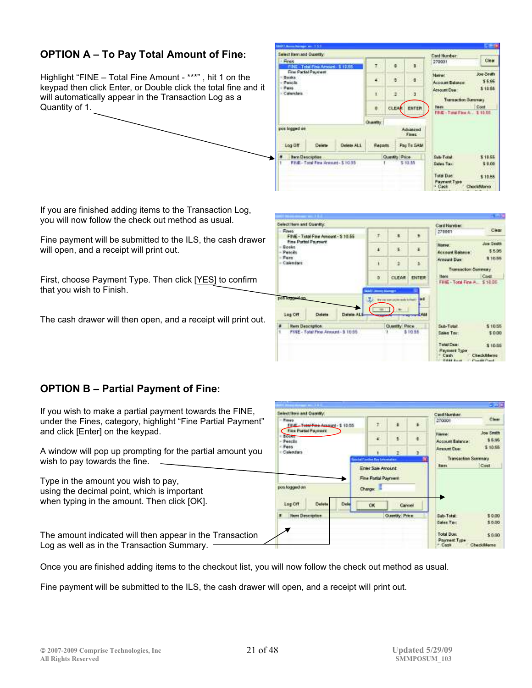# **OPTION A – To Pay Total Amount of Fine:**

Highlight "FINE – Total Fine Amount - \*\*\*" , hit 1 on the keypad then click Enter, or Double click the total fine and it will automatically appear in the Transaction Log as a Quantity of 1.



If you are finished adding items to the Transaction Log, you will now follow the check out method as usual.

Fine payment will be submitted to the ILS, the cash drawer will open, and a receipt will print out.

First, choose Payment Type. Then click [YES] to confirm that you wish to Finish.

The cash drawer will then open, and a receipt will print out.

|                                                                             |                                    |                                                      |                     |                                 |                           |                                       | $-10$                                    |
|-----------------------------------------------------------------------------|------------------------------------|------------------------------------------------------|---------------------|---------------------------------|---------------------------|---------------------------------------|------------------------------------------|
| Gelect Hern and Quantity.                                                   |                                    |                                                      |                     |                                 |                           | Card Hander                           |                                          |
| $-$ Fines                                                                   |                                    | ä,<br>٠<br>FINE - Total Fine Annount - \$ 10.55<br>× |                     | 270001                          | Clear                     |                                       |                                          |
| Fine Portfol Fayesent<br>$-$ Gooks<br>$-$ Putche<br>$-$ Pers<br>- Calendard |                                    | ¥,<br>z<br>ä                                         |                     |                                 | Norwe.<br>Access Balance: | Joe Seath<br>55.95                    |                                          |
|                                                                             |                                    | ï<br>s.<br>ž                                         | <b>Areaunt Due:</b> | \$10.55                         |                           |                                       |                                          |
|                                                                             |                                    |                                                      |                     |                                 |                           | Transaction Cummany                   |                                          |
|                                                                             |                                    |                                                      | ×.<br>n             | CLEAR                           | <b>ENTER</b>              | 1304'4<br>Filidi - Total Fina A.      | Cost<br>\$50.00                          |
| pos logge<br>Log Off                                                        | Dalota                             | Delabe ALS                                           |                     | <b>We are sumpled</b><br>monds! | <b>bd</b><br>2.84         |                                       |                                          |
| <b>Rent Description</b>                                                     |                                    |                                                      |                     | Questity Price                  |                           | Sub-Tistah                            | \$10.55                                  |
|                                                                             | FINE - Total Pine Annual - 3 10.65 |                                                      |                     |                                 | \$10.55                   | Sales Tax:                            | \$ 0.00                                  |
|                                                                             |                                    |                                                      |                     |                                 |                           | Total Deel<br><b>Payment Type</b>     | \$10.55                                  |
|                                                                             |                                    |                                                      |                     |                                 |                           | <sup>+</sup> Cash<br><b>GREENLAND</b> | CheckRiterno<br><b>Provident Provide</b> |

### **OPTION B – Partial Payment of Fine:**

|                                                                                                        |                                                                      |                                      |                  |                                            | - 33                |
|--------------------------------------------------------------------------------------------------------|----------------------------------------------------------------------|--------------------------------------|------------------|--------------------------------------------|---------------------|
| If you wish to make a partial payment towards the FINE,                                                | <b>Integritary and Ouverty</b>                                       |                                      |                  | Card Number:                               |                     |
| under the Fines, category, highlight "Fine Partial Payment"                                            | <b>Fines</b><br>Total Fine Account - \$ 10.55<br>Fine Parkel Payment | Ţ.                                   |                  | 270001                                     | Clear               |
| and click [Enter] on the keypad.                                                                       | <b>Beech</b><br>Peach                                                | ¥                                    | ö                | <b>Uservice</b><br>Account Relation        | Joe Seath<br>15.95  |
| A window will pop up prompting for the partial amount you                                              | Pess<br>Calendars                                                    |                                      |                  | <b>Arsound Case</b><br>Translatene Sammers | \$10.55             |
| wish to pay towards the fine.                                                                          |                                                                      | be het if aantient Bary Lemontations |                  | <b>Barry</b>                               | Cost                |
|                                                                                                        |                                                                      | Enter Sale Amount                    |                  |                                            |                     |
| Type in the amount you wish to pay,                                                                    |                                                                      | Fine Partial Payment                 |                  |                                            |                     |
| using the decimal point, which is important                                                            | pos logged an                                                        | Charge:                              |                  |                                            |                     |
| when typing in the amount. Then click [OK].                                                            | Lag Off<br>Datet                                                     | <b>CK</b>                            | Cancel           |                                            |                     |
|                                                                                                        | <b>News Dascoption</b>                                               |                                      | Chassilly, Price | Sub-Total                                  | \$ 0.00             |
|                                                                                                        |                                                                      |                                      |                  | Goles Tax:                                 | \$0.00              |
| The amount indicated will then appear in the Transaction<br>Log as well as in the Transaction Summary. |                                                                      |                                      |                  | <b>Total Due:</b><br>Painwest Type         | \$0.00<br>ark@Aaren |
|                                                                                                        |                                                                      |                                      |                  |                                            |                     |

Once you are finished adding items to the checkout list, you will now follow the check out method as usual.

Fine payment will be submitted to the ILS, the cash drawer will open, and a receipt will print out.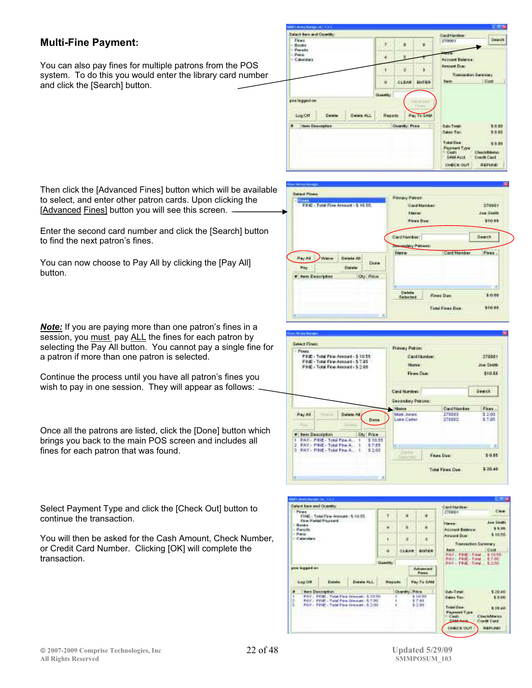## **Multi-Fine Payment:**

You can also pay fines for multiple patrons from the POS system. To do this you would enter the library card number and click the [Search] button.

| Select Bars and Coordity      |        |                      |               |                      |              | Card Mantbert                             |                                        |
|-------------------------------|--------|----------------------|---------------|----------------------|--------------|-------------------------------------------|----------------------------------------|
| Fines<br>- Books<br>- Pereits |        |                      |               | ä                    |              | 270001                                    | Search <sup>1</sup>                    |
| - Penc<br>Calendari           |        |                      |               |                      |              | <b>Account Balance</b>                    |                                        |
|                               |        |                      |               | ÷                    | ï            | Amount Due:<br><b>Tressures Survivery</b> |                                        |
|                               |        |                      | ö.            | <b>CLEAR</b>         | <b>BUTER</b> | <b>Fierty</b>                             | Cont                                   |
|                               |        |                      | Quantity.     |                      |              |                                           |                                        |
| positogged on<br>Log Off.     | Delete | <b>Deterministic</b> | <b>Headth</b> |                      | Pay To GAM   |                                           |                                        |
| <b># Hees Description</b>     |        |                      |               | <b>County: Price</b> |              | Sab-Total                                 | 59.00                                  |
|                               |        |                      |               |                      |              | : Sales Tax:                              | 5 8 8 9                                |
|                               |        |                      |               |                      |              | Total Care                                | \$ 2.00                                |
|                               |        |                      |               |                      |              | Playment Type<br>· Cesty<br>SAN Acct.     | <b>Checkbleno</b><br><b>Creck Card</b> |

Then click the [Advanced Fines] button which will be available to select, and enter other patron cards. Upon clicking the [Advanced Fines] button you will see this screen. -

Enter the second card number and click the [Search] button to find the next patron's fines.

You can now choose to Pay All by clicking the [Pay All] button.

*Note:* If you are paying more than one patron's fines in a session, you must pay ALL the fines for each patron by selecting the Pay All button. You cannot pay a single fine for a patron if more than one patron is selected.

Continue the process until you have all patron's fines you wish to pay in one session. They will appear as follows:

Once all the patrons are listed, click the [Done] button which brings you back to the main POS screen and includes all fines for each patron that was found.

Select Payment Type and click the [Check Out] button to continue the transaction.

You will then be asked for the Cash Amount, Check Number, or Credit Card Number. Clicking [OK] will complete the transaction.





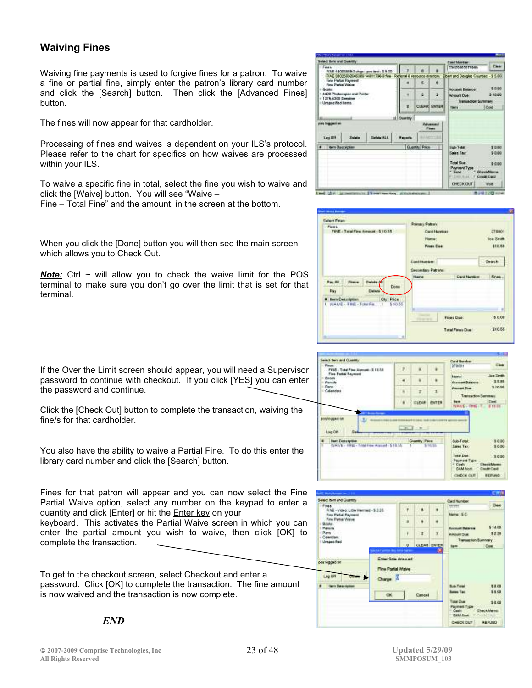### **Waiving Fines**

Waiving fine payments is used to forgive fines for a patron. To waive a fine or partial fine, simply enter the patron's library card number and click the [Search] button. Then click the [Advanced Fines] button.

The fines will now appear for that cardholder.

Processing of fines and waives is dependent on your ILS's protocol. Please refer to the chart for specifics on how waives are processed within your ILS.

To waive a specific fine in total, select the fine you wish to waive and click the [Waive] button. You will see "Waive –

Fine – Total Fine" and the amount, in the screen at the bottom.

When you click the [Done] button you will then see the main screen which allows you to Check Out.

*Note:* Ctrl ~ will allow you to check the waive limit for the POS terminal to make sure you don't go over the limit that is set for that terminal.









If the Over the Limit screen should appear, you will need a Supervisor password to continue with checkout. If you click [YES] you can enter the password and continue.

Click the [Check Out] button to complete the transaction, waiving the fine/s for that cardholder.

You also have the ability to waive a Partial Fine. To do this enter the library card number and click the [Search] button.

Fines for that patron will appear and you can now select the Fine Partial Waive option, select any number on the keypad to enter a quantity and click [Enter] or hit the Enter key on your

keyboard. This activates the Partial Waive screen in which you can enter the partial amount you wish to waive, then click [OK] to complete the transaction.

To get to the checkout screen, select Checkout and enter a password. Click [OK] to complete the transaction. The fine amount is now waived and the transaction is now complete.